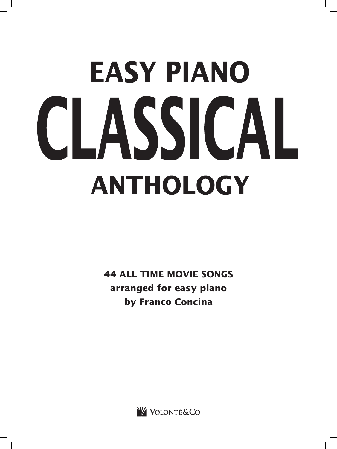## **EASY PIANO** CLASSICAL **ANTHOLOGY**

**44 ALL TIME MOVIE SONGS** arranged for easy piano by Franco Concina

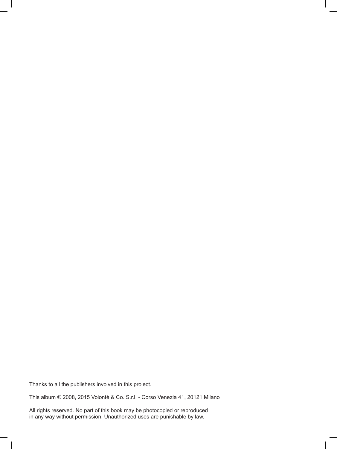Thanks to all the publishers involved in this project.

This album © 2008, 2015 Volontè & Co. S.r.l. - Corso Venezia 41, 20121 Milano

All rights reserved. No part of this book may be photocopied or reproduced in any way without permission. Unauthorized uses are punishable by law.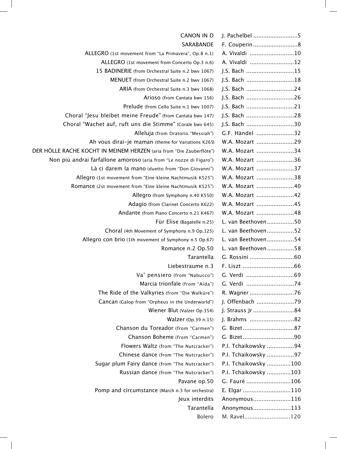| <b>CANON IN D</b>                                                    |                      |
|----------------------------------------------------------------------|----------------------|
| SARABANDE                                                            |                      |
| ALLEGRO (1st movement from "La Primavera", Op.8 n.1)                 | A. Vivaldi 10        |
| ALLEGRO (1st movement from Concerto Op.3 n.6)                        | A. Vivaldi 12        |
| 15 BADINERIE (from Orchestral Suite n.2 bwv 1067)                    | J.S. Bach 15         |
| MENUET (from Orchestral Suite n.2 bwv 1067)                          | J.S. Bach 18         |
| ARIA (from Orchestral Suite n.3 bwv 1068)                            | J.S. Bach 24         |
| Arioso (from Cantata bwv 156)                                        | J.S. Bach 26         |
| Prelude (from Cello Suite n.1 bwv 1007)                              | J.S. Bach 21         |
| Choral "Jesu bleibet meine Freude" (from Cantata bwv 147)            | J.S. Bach 28         |
| Choral "Wachet auf, ruft uns die Stimme" (Corale bwv 645)            | J.S. Bach 30         |
| Alleluja (from Oratorio "Messiah")                                   | G.F. Händel 32       |
| Ah vous dirai-je maman (theme for Variations K265)                   | W.A. Mozart 29       |
| DER HÖLLE RACHE KOCHT IN MEINEM HERZEN (aria from "Die Zauberflöte") | W.A. Mozart 34       |
| Non più andrai farfallone amoroso (aria from "Le nozze di Figaro")   | W.A. Mozart 36       |
| Là ci darem la mano (duetto from "Don Giovanni")                     | W.A. Mozart 37       |
| Allegro (1st movement from "Eine kleine Nachtmusik K525")            | W.A. Mozart 38       |
| Romance (2st movement from "Eine kleine Nachtmusik K525")            | W.A. Mozart 40       |
| Allegro (from Symphony n.40 K550)                                    | W.A. Mozart 42       |
| Adagio (from Clarinet Concerto K622)                                 | W.A. Mozart 45       |
| Andante (from Piano Concerto n.21 K467)                              | W.A. Mozart 48       |
| Für Elise (Bagatelle n.25)                                           | L. van Beethoven50   |
| Choral (4th Movement of Symphony n.9 Op.125)                         | L. van Beethoven52   |
| Allegro con brio (1th movement of Symphony n.5 Op.67)                | L. van Beethoven54   |
| Romance n.2 Op.50                                                    | L. van Beethoven58   |
| Tarantella                                                           |                      |
| Liebestraume n.3                                                     |                      |
| Va' pensiero (from "Nabucco")                                        |                      |
| Marcia trionfale (from "Aida")                                       | G. Verdi 74          |
| The Ride of the Valkyries (from "Die Walküre")                       | R. Wagner 76         |
| Cancan (Galop from "Orpheus in the Underworld")                      | J. Offenbach 79      |
| Wiener Blut (Valzer Op.354)                                          | J. Strauss Jr 84     |
| Walzer (Op.39 n.15)                                                  | J. Brahms 82         |
| Chanson du Toreador (from "Carmen")                                  |                      |
| Chanson Boheme (from "Carmen")                                       |                      |
| Flowers Waltz (from "The Nutcracker")                                | P.I. Tchaikowsky 94  |
| Chinese dance (from "The Nutcracker")                                | P.I. Tchaikowsky 97  |
| Sugar plum Fairy dance (from "The Nutcracker")                       | P.I. Tchaikowsky 100 |
| Russian dance (from "The Nutcracker")                                | P.I. Tchaikowsky 103 |
| Pavane op.50                                                         | G. Faurè 106         |
| Pomp and circumstance (March n.3 for orchestra)                      | E. Elgar 110         |
| Jeux interdits                                                       | Anonymous116         |
| Tarantella                                                           | Anonymous113         |
| <b>Bolero</b>                                                        | M. Ravel120          |
|                                                                      |                      |